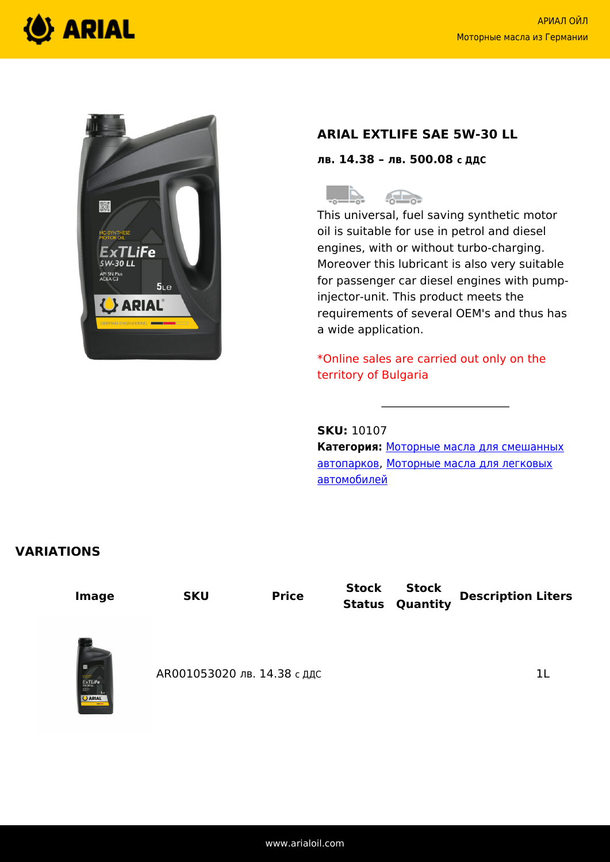



# **ARIAL EXTLIFE SAE 5W-30 LL**

**лв. 14.38 – лв. 500.08 с ДДС**

 $\triangle$ 

This universal, fuel saving synthetic motor oil is suitable for use in petrol and diesel engines, with or without turbo-charging. Moreover this lubricant is also very suitable for passenger car diesel engines with pumpinjector-unit. This product meets the requirements of several OEM's and thus has a wide application.

\*Online sales are carried out only on the territory of Bulgaria

**SKU:** 10107

**Категория:** [Моторные масла для смешанных](https://www.arialoil.com/ru/product-category/engine-oils/engine-oils-for-mixed-fleets/) [автопарков](https://www.arialoil.com/ru/product-category/engine-oils/engine-oils-for-mixed-fleets/), [Моторные масла для легковых](https://www.arialoil.com/ru/product-category/engine-oils/engine-oils-for-passenger-cars/) [автомобилей](https://www.arialoil.com/ru/product-category/engine-oils/engine-oils-for-passenger-cars/)

## **VARIATIONS**

**Stock Image SKU Price Stock Quantity Description Liters Status** АR001053020 лв. 14.38 с ддс 11 июля против 11  $xTL$ iF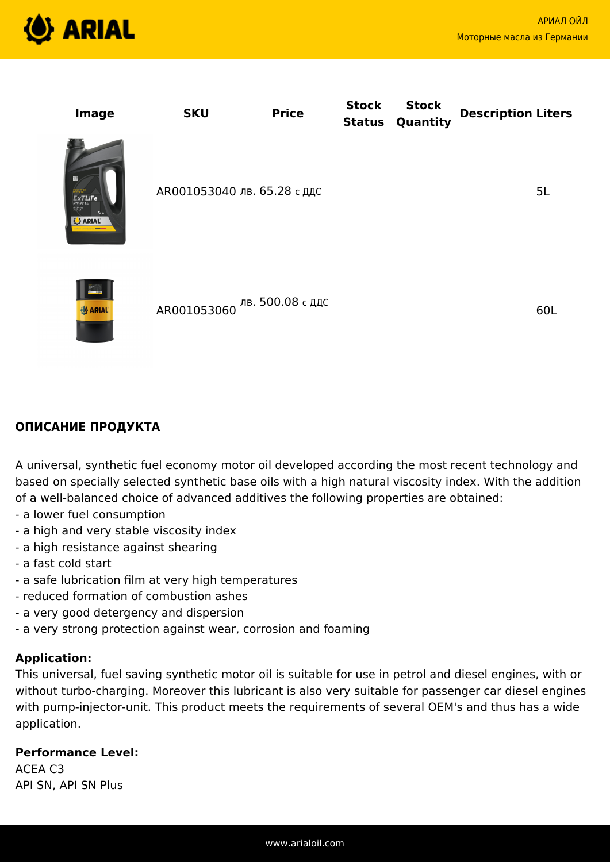

60L

| Image                                                    | <b>SKU</b>                  | <b>Price</b>                      | <b>Stock</b><br><b>Status</b> | <b>Stock</b><br>Quantity | <b>Description Liters</b> |
|----------------------------------------------------------|-----------------------------|-----------------------------------|-------------------------------|--------------------------|---------------------------|
| ExTLife<br>AN SHEAT<br>5 <sub>Le</sub><br><b>U</b> ARIAL | АR001053040 лв. 65.28 с ддс |                                   |                               |                          | 5L                        |
| $_{\circ}$ A $_{\circ}$                                  |                             | 1 В 2001 ОБ 2000 ЛВ. 500.08 с ДДС |                               |                          | $\sim$ $\sim$ $\sim$      |



(<sup>6</sup>) ARIAL

A universal, synthetic fuel economy motor oil developed according the most recent technology and based on specially selected synthetic base oils with a high natural viscosity index. With the addition of a well-balanced choice of advanced additives the following properties are obtained:

- a lower fuel consumption
- a high and very stable viscosity index
- a high resistance against shearing
- a fast cold start
- a safe lubrication film at very high temperatures
- reduced formation of combustion ashes
- a very good detergency and dispersion
- a very strong protection against wear, corrosion and foaming

AR001053060

#### **Application:**

This universal, fuel saving synthetic motor oil is suitable for use in petrol and diesel engines, with or without turbo-charging. Moreover this lubricant is also very suitable for passenger car diesel engines with pump-injector-unit. This product meets the requirements of several OEM's and thus has a wide application.

#### **Performance Level:**

ACEA C3 API SN, API SN Plus